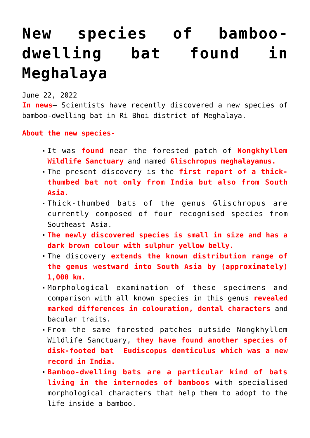## **[New species of bamboo](https://journalsofindia.com/new-species-of-bamboo-dwelling-bat-found-in-meghalaya/)**dwelling bat found **[Meghalaya](https://journalsofindia.com/new-species-of-bamboo-dwelling-bat-found-in-meghalaya/)**

June 22, 2022

**In news**– Scientists have recently discovered a new species of bamboo-dwelling bat in Ri Bhoi district of Meghalaya.

**About the new species-**

- It was **found** near the forested patch of **Nongkhyllem Wildlife Sanctuary** and named **Glischropus meghalayanus.**
- The present discovery is the **first report of a thickthumbed bat not only from India but also from South Asia.**
- Thick-thumbed bats of the genus Glischropus are currently composed of four recognised species from Southeast Asia.
- **The newly discovered species is small in size and has a dark brown colour with sulphur yellow belly.**
- The discovery **extends the known distribution range of the genus westward into South Asia by (approximately) 1,000 km.**
- Morphological examination of these specimens and comparison with all known species in this genus **revealed marked differences in colouration, dental characters** and bacular traits.
- From the same forested patches outside Nongkhyllem Wildlife Sanctuary, **they have found another species of disk-footed bat Eudiscopus denticulus which was a new record in India.**
- **Bamboo-dwelling bats are a particular kind of bats living in the internodes of bamboos** with specialised morphological characters that help them to adopt to the life inside a bamboo.